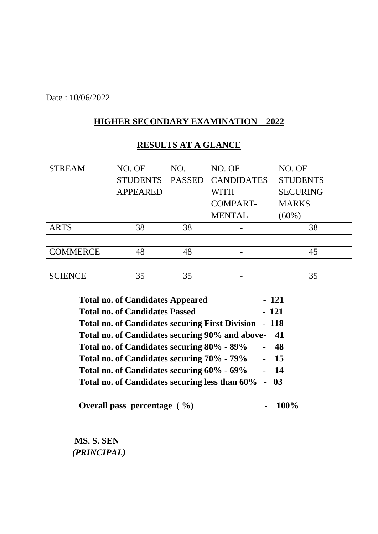Date : 10/06/2022

#### **HIGHER SECONDARY EXAMINATION – 2022**

| <b>STREAM</b>   | NO. OF          | NO.           | NO. OF            | NO. OF          |
|-----------------|-----------------|---------------|-------------------|-----------------|
|                 | <b>STUDENTS</b> | <b>PASSED</b> | <b>CANDIDATES</b> | <b>STUDENTS</b> |
|                 | <b>APPEARED</b> |               | WITH              | <b>SECURING</b> |
|                 |                 |               | <b>COMPART-</b>   | <b>MARKS</b>    |
|                 |                 |               | <b>MENTAL</b>     | $(60\%)$        |
| <b>ARTS</b>     | 38              | 38            |                   | 38              |
|                 |                 |               |                   |                 |
| <b>COMMERCE</b> | 48              | 48            |                   | 45              |
|                 |                 |               |                   |                 |
| <b>SCIENCE</b>  | 35              | 35            |                   | 35              |

# **RESULTS AT A GLANCE**

| $-121$<br><b>Total no. of Candidates Appeared</b>     |      |
|-------------------------------------------------------|------|
| $-121$<br><b>Total no. of Candidates Passed</b>       |      |
| Total no. of Candidates securing First Division - 118 |      |
| Total no. of Candidates securing 90% and above-       | - 41 |
| Total no. of Candidates securing 80% - 89%<br>$\sim$  | 48   |
| Total no. of Candidates securing 70% - 79%<br>$-15$   |      |
| Total no. of Candidates securing 60% - 69%<br>- 14    |      |
| Total no. of Candidates securing less than 60%        | 03   |

**Overall pass percentage (%)** - 100%

 **MS. S. SEN**  *(PRINCIPAL)*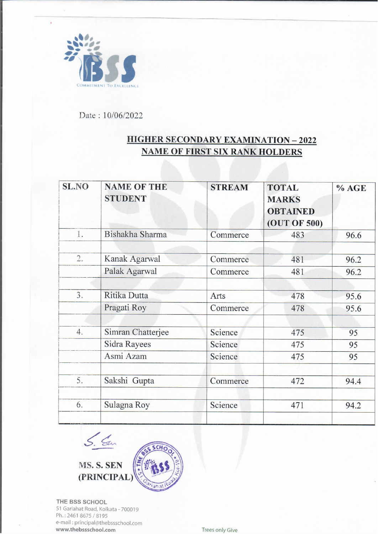

 $\ddot{\phantom{1}}$ 

Date: 10/06/2022

### **HIGHER SECONDARY EXAMINATION - 2022 NAME OF FIRST SIX RANK HOLDERS**

| <b>SL.NO</b> | <b>NAME OF THE</b><br><b>STUDENT</b>           | <b>STREAM</b>                 | <b>TOTAL</b><br><b>MARKS</b><br><b>OBTAINED</b><br>(OUT OF 500) | % AGE          |
|--------------|------------------------------------------------|-------------------------------|-----------------------------------------------------------------|----------------|
| 1.           | Bishakha Sharma                                | Commerce                      | 483                                                             | 96.6           |
| 2.           | Kanak Agarwal<br>Palak Agarwal                 | Commerce<br>Commerce          | 481<br>481                                                      | 96.2<br>96.2   |
| 3.           | Ritika Dutta<br>Pragati Roy                    | Arts<br>Commerce              | 478<br>478                                                      | 95.6<br>95.6   |
| 4.           | Simran Chatterjee<br>Sidra Rayees<br>Asmi Azam | Science<br>Science<br>Science | 475<br>475<br>475                                               | 95<br>95<br>95 |
| 5.           | Sakshi Gupta                                   | Commerce                      | 472                                                             | 94.4           |
| 6.           | Sulagna Roy                                    | Science                       | 471                                                             | 94.2           |



THE BSS SCHOOL 51 Gariahat Road, Kolkata - 700019 Ph.: 2461 8675 / 8195 e-mail: principal@thebssschool.com www.thebssschool.com

Trees only Give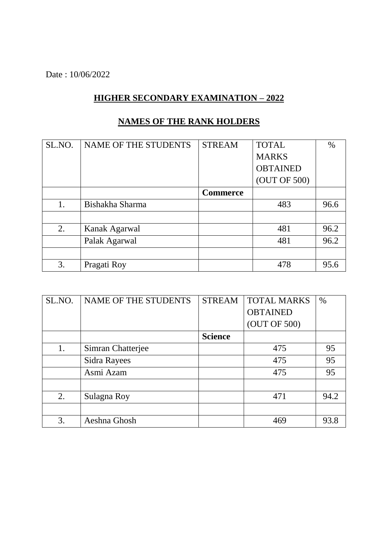Date : 10/06/2022

# **HIGHER SECONDARY EXAMINATION – 2022**

| SL.NO. | NAME OF THE STUDENTS | <b>STREAM</b>   | <b>TOTAL</b>    | $\%$ |
|--------|----------------------|-----------------|-----------------|------|
|        |                      |                 | <b>MARKS</b>    |      |
|        |                      |                 | <b>OBTAINED</b> |      |
|        |                      |                 | (OUT OF 500)    |      |
|        |                      | <b>Commerce</b> |                 |      |
| 1.     | Bishakha Sharma      |                 | 483             | 96.6 |
|        |                      |                 |                 |      |
| 2.     | Kanak Agarwal        |                 | 481             | 96.2 |
|        | Palak Agarwal        |                 | 481             | 96.2 |
|        |                      |                 |                 |      |
| 3.     | Pragati Roy          |                 | 478             | 95.6 |

### **NAMES OF THE RANK HOLDERS**

| SL.NO. | <b>NAME OF THE STUDENTS</b> | <b>STREAM</b>  | <b>TOTAL MARKS</b> | $\%$ |
|--------|-----------------------------|----------------|--------------------|------|
|        |                             |                | <b>OBTAINED</b>    |      |
|        |                             |                | (OUT OF 500)       |      |
|        |                             | <b>Science</b> |                    |      |
| 1.     | Simran Chatterjee           |                | 475                | 95   |
|        | Sidra Rayees                |                | 475                | 95   |
|        | Asmi Azam                   |                | 475                | 95   |
|        |                             |                |                    |      |
| 2.     | Sulagna Roy                 |                | 471                | 94.2 |
|        |                             |                |                    |      |
| 3.     | Aeshna Ghosh                |                | 469                | 93.8 |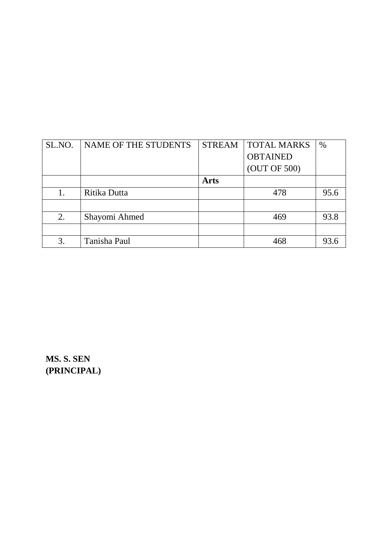| SL.NO. | NAME OF THE STUDENTS | <b>STREAM</b> | <b>TOTAL MARKS</b> | $\%$ |
|--------|----------------------|---------------|--------------------|------|
|        |                      |               | <b>OBTAINED</b>    |      |
|        |                      |               | (OUT OF 500)       |      |
|        |                      | <b>Arts</b>   |                    |      |
| 1.     | Ritika Dutta         |               | 478                | 95.6 |
|        |                      |               |                    |      |
| 2.     | Shayomi Ahmed        |               | 469                | 93.8 |
|        |                      |               |                    |      |
| 3.     | Tanisha Paul         |               | 468                | 93.6 |

**MS. S. SEN (PRINCIPAL)**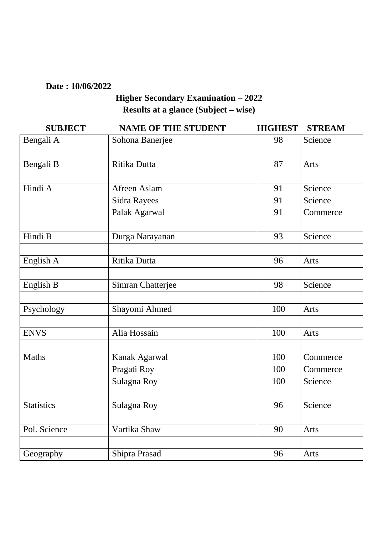#### **Date : 10/06/2022**

# **Higher Secondary Examination – 2022 Results at a glance (Subject – wise)**

| <b>SUBJECT</b>    | <b>NAME OF THE STUDENT</b> | <b>HIGHEST</b> | <b>STREAM</b> |
|-------------------|----------------------------|----------------|---------------|
| Bengali A         | Sohona Banerjee            | 98             | Science       |
|                   |                            |                |               |
| Bengali B         | Ritika Dutta               | 87             | Arts          |
|                   |                            |                |               |
| Hindi A           | Afreen Aslam               | 91             | Science       |
|                   | <b>Sidra Rayees</b>        | 91             | Science       |
|                   | Palak Agarwal              | 91             | Commerce      |
|                   |                            |                |               |
| Hindi B           | Durga Narayanan            | 93             | Science       |
|                   |                            |                |               |
| English A         | Ritika Dutta               | 96             | Arts          |
| English B         | Simran Chatterjee          | 98             | Science       |
|                   |                            |                |               |
| Psychology        | Shayomi Ahmed              | 100            | Arts          |
|                   |                            |                |               |
| <b>ENVS</b>       | Alia Hossain               | 100            | Arts          |
|                   |                            |                |               |
| Maths             | Kanak Agarwal              | 100            | Commerce      |
|                   | Pragati Roy                | 100            | Commerce      |
|                   | Sulagna Roy                | 100            | Science       |
|                   |                            |                |               |
| <b>Statistics</b> | Sulagna Roy                | 96             | Science       |
|                   |                            |                |               |
| Pol. Science      | Vartika Shaw               | 90             | Arts          |
|                   |                            |                |               |
| Geography         | Shipra Prasad              | 96             | Arts          |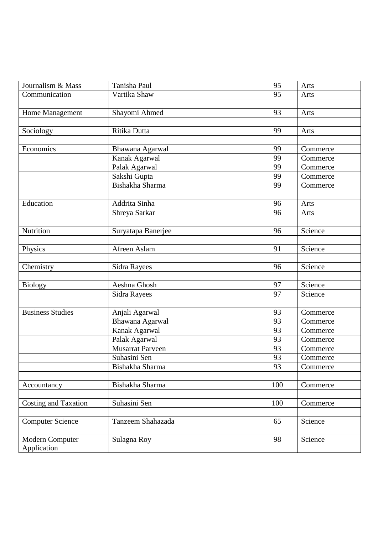| Journalism & Mass              | Tanisha Paul            | 95  | Arts     |
|--------------------------------|-------------------------|-----|----------|
| Communication                  | Vartika Shaw            | 95  | Arts     |
|                                |                         |     |          |
| Home Management                | Shayomi Ahmed           | 93  | Arts     |
|                                |                         |     |          |
| Sociology                      | Ritika Dutta            | 99  | Arts     |
|                                |                         |     |          |
| Economics                      | Bhawana Agarwal         | 99  | Commerce |
|                                | Kanak Agarwal           | 99  | Commerce |
|                                | Palak Agarwal           | 99  | Commerce |
|                                | Sakshi Gupta            | 99  | Commerce |
|                                | Bishakha Sharma         | 99  | Commerce |
|                                |                         |     |          |
| Education                      | Addrita Sinha           | 96  | Arts     |
|                                | Shreya Sarkar           | 96  | Arts     |
|                                |                         |     |          |
| Nutrition                      | Suryatapa Banerjee      | 96  | Science  |
|                                |                         |     |          |
| Physics                        | Afreen Aslam            | 91  | Science  |
|                                |                         |     |          |
| Chemistry                      | <b>Sidra Rayees</b>     | 96  | Science  |
|                                |                         |     |          |
| <b>Biology</b>                 | Aeshna Ghosh            | 97  | Science  |
|                                | Sidra Rayees            | 97  | Science  |
|                                |                         |     |          |
| <b>Business Studies</b>        | Anjali Agarwal          | 93  | Commerce |
|                                | Bhawana Agarwal         | 93  | Commerce |
|                                | Kanak Agarwal           | 93  | Commerce |
|                                | Palak Agarwal           | 93  | Commerce |
|                                | <b>Musarrat Parveen</b> | 93  | Commerce |
|                                | Suhasini Sen            | 93  | Commerce |
|                                | Bishakha Sharma         | 93  | Commerce |
|                                |                         |     |          |
| Accountancy                    | Bishakha Sharma         | 100 | Commerce |
|                                |                         |     |          |
| <b>Costing and Taxation</b>    | Suhasini Sen            | 100 | Commerce |
|                                |                         |     |          |
| <b>Computer Science</b>        | Tanzeem Shahazada       | 65  | Science  |
|                                |                         |     |          |
| Modern Computer<br>Application | Sulagna Roy             | 98  | Science  |